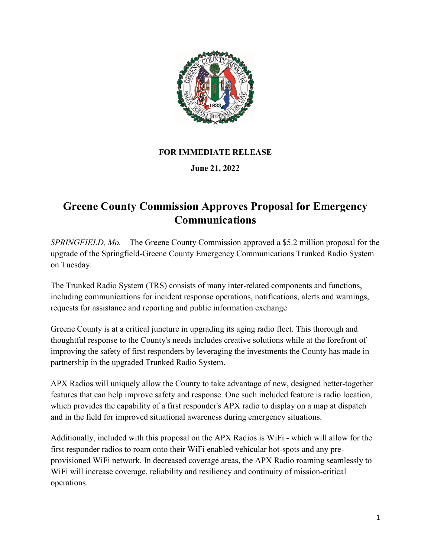

## **FOR IMMEDIATE RELEASE**

## **June 21, 2022**

## **Greene County Commission Approves Proposal for Emergency Communications**

*SPRINGFIELD, Mo.* – The Greene County Commission approved a \$5.2 million proposal for the upgrade of the Springfield-Greene County Emergency Communications Trunked Radio System on Tuesday.

The Trunked Radio System (TRS) consists of many inter-related components and functions, including communications for incident response operations, notifications, alerts and warnings, requests for assistance and reporting and public information exchange

Greene County is at a critical juncture in upgrading its aging radio fleet. This thorough and thoughtful response to the County's needs includes creative solutions while at the forefront of improving the safety of first responders by leveraging the investments the County has made in partnership in the upgraded Trunked Radio System.

APX Radios will uniquely allow the County to take advantage of new, designed better-together features that can help improve safety and response. One such included feature is radio location, which provides the capability of a first responder's APX radio to display on a map at dispatch and in the field for improved situational awareness during emergency situations.

Additionally, included with this proposal on the APX Radios is WiFi - which will allow for the first responder radios to roam onto their WiFi enabled vehicular hot-spots and any preprovisioned WiFi network. In decreased coverage areas, the APX Radio roaming seamlessly to WiFi will increase coverage, reliability and resiliency and continuity of mission-critical operations.